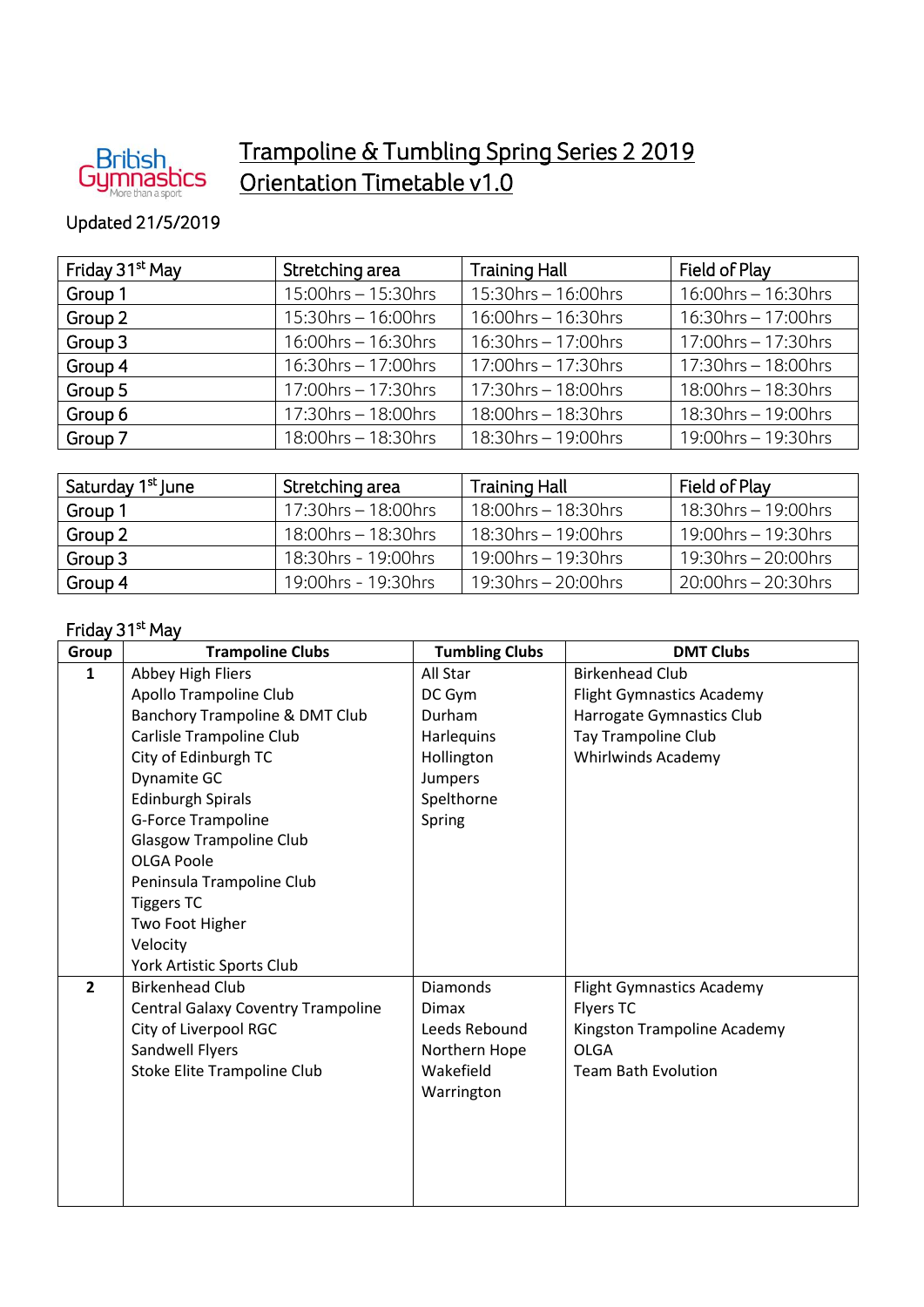

## Trampoline & Tumbling Spring Series 2 2019 Orientation Timetable v1.0

## Updated 21/5/2019

| Friday 31 <sup>st</sup> May | Stretching area        | <b>Training Hall</b>      | Field of Play          |
|-----------------------------|------------------------|---------------------------|------------------------|
| Group 1                     | 15:00hrs - 15:30hrs    | $15:30$ hrs - 16:00hrs    | $16:00$ hrs – 16:30hrs |
| Group 2                     | $15:30$ hrs – 16:00hrs | $16:00$ hrs - $16:30$ hrs | $16:30$ hrs – 17:00hrs |
| Group 3                     | $16:00$ hrs – 16:30hrs | $16:30$ hrs - 17:00hrs    | $17:00$ hrs - 17:30hrs |
| Group 4                     | 16:30hrs - 17:00hrs    | 17:00hrs - 17:30hrs       | $17:30$ hrs – 18:00hrs |
| Group 5                     | $17:00$ hrs – 17:30hrs | $17:30$ hrs - 18:00hrs    | 18:00hrs - 18:30hrs    |
| Group 6                     | $17:30$ hrs – 18:00hrs | 18:00hrs - 18:30hrs       | $18:30$ hrs – 19:00hrs |
| Group 7                     | 18:00hrs - 18:30hrs    | 18:30hrs - 19:00hrs       | $19:00$ hrs – 19:30hrs |

| Saturday 1 <sup>st</sup> June | Stretching area        | <b>Training Hall</b>   | Field of Play          |
|-------------------------------|------------------------|------------------------|------------------------|
| Group 1                       | $17:30$ hrs – 18:00hrs | $18:00$ hrs – 18:30hrs | $18:30$ hrs – 19:00hrs |
| Group 2                       | 18:00hrs - 18:30hrs    | $18:30$ hrs – 19:00hrs | $19:00$ hrs – 19:30hrs |
| Group 3                       | 18:30hrs - 19:00hrs    | $19:00$ hrs – 19:30hrs | $19:30$ hrs – 20:00hrs |
| Group 4                       | 19:00hrs - 19:30hrs    | 19:30hrs - 20:00hrs    | $20:00$ hrs – 20:30hrs |

## Friday 31<sup>st</sup> May

| Group          | <b>Trampoline Clubs</b>                   | <b>Tumbling Clubs</b> | <b>DMT Clubs</b>                 |
|----------------|-------------------------------------------|-----------------------|----------------------------------|
| 1              | Abbey High Fliers                         | All Star              | <b>Birkenhead Club</b>           |
|                | Apollo Trampoline Club                    | DC Gym                | <b>Flight Gymnastics Academy</b> |
|                | Banchory Trampoline & DMT Club            | Durham                | Harrogate Gymnastics Club        |
|                | Carlisle Trampoline Club                  | Harlequins            | Tay Trampoline Club              |
|                | City of Edinburgh TC                      | Hollington            | <b>Whirlwinds Academy</b>        |
|                | Dynamite GC                               | Jumpers               |                                  |
|                | <b>Edinburgh Spirals</b>                  | Spelthorne            |                                  |
|                | G-Force Trampoline                        | Spring                |                                  |
|                | <b>Glasgow Trampoline Club</b>            |                       |                                  |
|                | <b>OLGA Poole</b>                         |                       |                                  |
|                | Peninsula Trampoline Club                 |                       |                                  |
|                | <b>Tiggers TC</b>                         |                       |                                  |
|                | Two Foot Higher                           |                       |                                  |
|                | Velocity                                  |                       |                                  |
|                | York Artistic Sports Club                 |                       |                                  |
| $\overline{2}$ | <b>Birkenhead Club</b>                    | <b>Diamonds</b>       | <b>Flight Gymnastics Academy</b> |
|                | <b>Central Galaxy Coventry Trampoline</b> | <b>Dimax</b>          | Flyers TC                        |
|                | City of Liverpool RGC                     | Leeds Rebound         | Kingston Trampoline Academy      |
|                | Sandwell Flyers                           | Northern Hope         | <b>OLGA</b>                      |
|                | Stoke Elite Trampoline Club               | Wakefield             | <b>Team Bath Evolution</b>       |
|                |                                           | Warrington            |                                  |
|                |                                           |                       |                                  |
|                |                                           |                       |                                  |
|                |                                           |                       |                                  |
|                |                                           |                       |                                  |
|                |                                           |                       |                                  |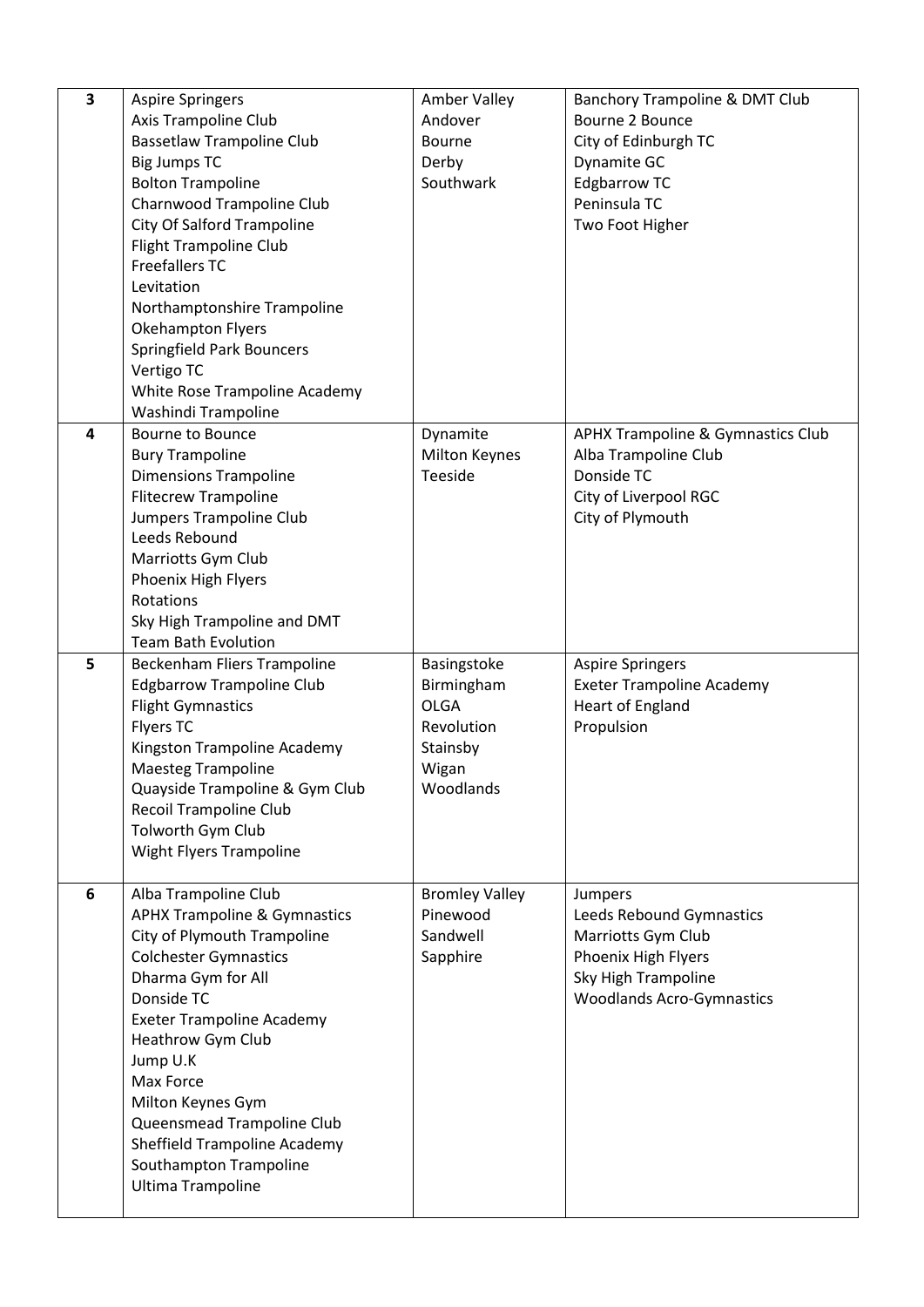| 3 | <b>Aspire Springers</b><br>Axis Trampoline Club<br><b>Bassetlaw Trampoline Club</b><br><b>Big Jumps TC</b><br><b>Bolton Trampoline</b><br>Charnwood Trampoline Club<br><b>City Of Salford Trampoline</b><br><b>Flight Trampoline Club</b><br><b>Freefallers TC</b><br>Levitation                                                                                                       | Amber Valley<br>Andover<br>Bourne<br>Derby<br>Southwark                                  | Banchory Trampoline & DMT Club<br>Bourne 2 Bounce<br>City of Edinburgh TC<br>Dynamite GC<br><b>Edgbarrow TC</b><br>Peninsula TC<br>Two Foot Higher |
|---|----------------------------------------------------------------------------------------------------------------------------------------------------------------------------------------------------------------------------------------------------------------------------------------------------------------------------------------------------------------------------------------|------------------------------------------------------------------------------------------|----------------------------------------------------------------------------------------------------------------------------------------------------|
|   | Northamptonshire Trampoline<br><b>Okehampton Flyers</b><br><b>Springfield Park Bouncers</b><br>Vertigo TC<br>White Rose Trampoline Academy<br>Washindi Trampoline                                                                                                                                                                                                                      |                                                                                          |                                                                                                                                                    |
| 4 | <b>Bourne to Bounce</b><br><b>Bury Trampoline</b><br><b>Dimensions Trampoline</b><br><b>Flitecrew Trampoline</b><br>Jumpers Trampoline Club<br>Leeds Rebound<br>Marriotts Gym Club<br>Phoenix High Flyers<br>Rotations<br>Sky High Trampoline and DMT<br><b>Team Bath Evolution</b>                                                                                                    | Dynamite<br><b>Milton Keynes</b><br>Teeside                                              | <b>APHX Trampoline &amp; Gymnastics Club</b><br>Alba Trampoline Club<br>Donside TC<br>City of Liverpool RGC<br>City of Plymouth                    |
| 5 | Beckenham Fliers Trampoline<br><b>Edgbarrow Trampoline Club</b><br><b>Flight Gymnastics</b><br><b>Flyers TC</b><br>Kingston Trampoline Academy<br><b>Maesteg Trampoline</b><br>Quayside Trampoline & Gym Club<br>Recoil Trampoline Club<br>Tolworth Gym Club<br>Wight Flyers Trampoline                                                                                                | Basingstoke<br>Birmingham<br><b>OLGA</b><br>Revolution<br>Stainsby<br>Wigan<br>Woodlands | <b>Aspire Springers</b><br><b>Exeter Trampoline Academy</b><br>Heart of England<br>Propulsion                                                      |
| 6 | Alba Trampoline Club<br><b>APHX Trampoline &amp; Gymnastics</b><br>City of Plymouth Trampoline<br><b>Colchester Gymnastics</b><br>Dharma Gym for All<br>Donside TC<br><b>Exeter Trampoline Academy</b><br>Heathrow Gym Club<br>Jump U.K<br>Max Force<br>Milton Keynes Gym<br>Queensmead Trampoline Club<br>Sheffield Trampoline Academy<br>Southampton Trampoline<br>Ultima Trampoline | <b>Bromley Valley</b><br>Pinewood<br>Sandwell<br>Sapphire                                | Jumpers<br>Leeds Rebound Gymnastics<br>Marriotts Gym Club<br>Phoenix High Flyers<br>Sky High Trampoline<br><b>Woodlands Acro-Gymnastics</b>        |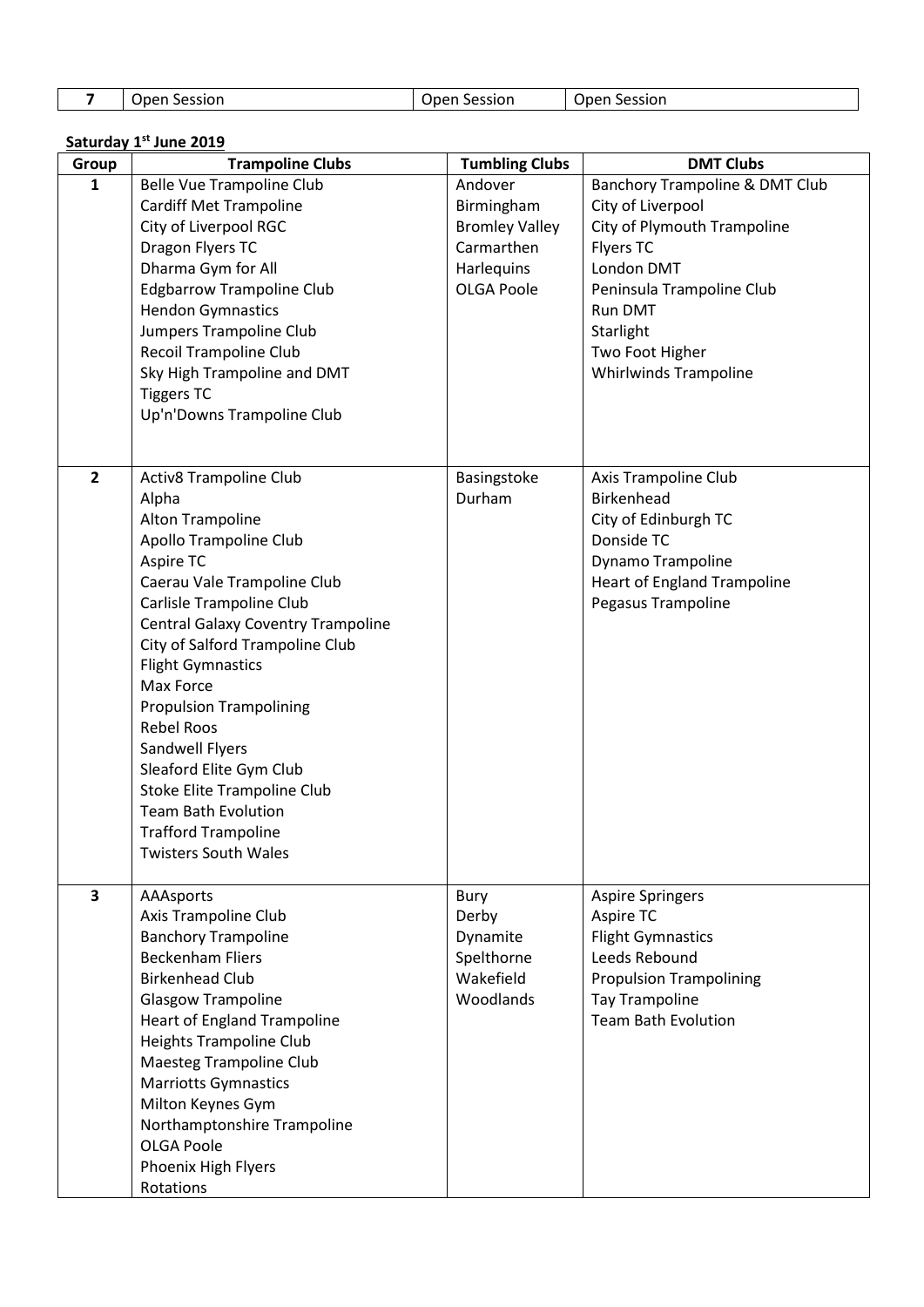| Session<br>Session<br>Jpen<br>Open | Session<br>Open. |
|------------------------------------|------------------|
|------------------------------------|------------------|

## **<u>Saturday 1st</u>** June 2019

| Group                   | <b>Trampoline Clubs</b>                                                                                                                                                                                                                                                                                                                                                                                                                                                                                                            | <b>Tumbling Clubs</b>                                                                           | <b>DMT Clubs</b>                                                                                                                                                                                                             |
|-------------------------|------------------------------------------------------------------------------------------------------------------------------------------------------------------------------------------------------------------------------------------------------------------------------------------------------------------------------------------------------------------------------------------------------------------------------------------------------------------------------------------------------------------------------------|-------------------------------------------------------------------------------------------------|------------------------------------------------------------------------------------------------------------------------------------------------------------------------------------------------------------------------------|
| 1                       | Belle Vue Trampoline Club<br><b>Cardiff Met Trampoline</b><br>City of Liverpool RGC<br>Dragon Flyers TC<br>Dharma Gym for All<br><b>Edgbarrow Trampoline Club</b><br><b>Hendon Gymnastics</b><br>Jumpers Trampoline Club<br><b>Recoil Trampoline Club</b><br>Sky High Trampoline and DMT<br><b>Tiggers TC</b><br>Up'n'Downs Trampoline Club                                                                                                                                                                                        | Andover<br>Birmingham<br><b>Bromley Valley</b><br>Carmarthen<br>Harlequins<br><b>OLGA Poole</b> | Banchory Trampoline & DMT Club<br>City of Liverpool<br>City of Plymouth Trampoline<br><b>Flyers TC</b><br>London DMT<br>Peninsula Trampoline Club<br>Run DMT<br>Starlight<br>Two Foot Higher<br><b>Whirlwinds Trampoline</b> |
| $\overline{\mathbf{2}}$ | <b>Activ8 Trampoline Club</b><br>Alpha<br><b>Alton Trampoline</b><br><b>Apollo Trampoline Club</b><br>Aspire TC<br>Caerau Vale Trampoline Club<br>Carlisle Trampoline Club<br><b>Central Galaxy Coventry Trampoline</b><br>City of Salford Trampoline Club<br><b>Flight Gymnastics</b><br>Max Force<br><b>Propulsion Trampolining</b><br><b>Rebel Roos</b><br>Sandwell Flyers<br>Sleaford Elite Gym Club<br>Stoke Elite Trampoline Club<br><b>Team Bath Evolution</b><br><b>Trafford Trampoline</b><br><b>Twisters South Wales</b> | Basingstoke<br>Durham                                                                           | Axis Trampoline Club<br><b>Birkenhead</b><br>City of Edinburgh TC<br>Donside TC<br>Dynamo Trampoline<br><b>Heart of England Trampoline</b><br>Pegasus Trampoline                                                             |
| $\overline{\mathbf{3}}$ | AAAsports<br>Axis Trampoline Club<br><b>Banchory Trampoline</b><br><b>Beckenham Fliers</b><br><b>Birkenhead Club</b><br><b>Glasgow Trampoline</b><br><b>Heart of England Trampoline</b><br><b>Heights Trampoline Club</b><br><b>Maesteg Trampoline Club</b><br><b>Marriotts Gymnastics</b><br>Milton Keynes Gym<br>Northamptonshire Trampoline<br><b>OLGA Poole</b><br>Phoenix High Flyers<br>Rotations                                                                                                                            | <b>Bury</b><br>Derby<br>Dynamite<br>Spelthorne<br>Wakefield<br>Woodlands                        | <b>Aspire Springers</b><br>Aspire TC<br><b>Flight Gymnastics</b><br>Leeds Rebound<br><b>Propulsion Trampolining</b><br><b>Tay Trampoline</b><br><b>Team Bath Evolution</b>                                                   |